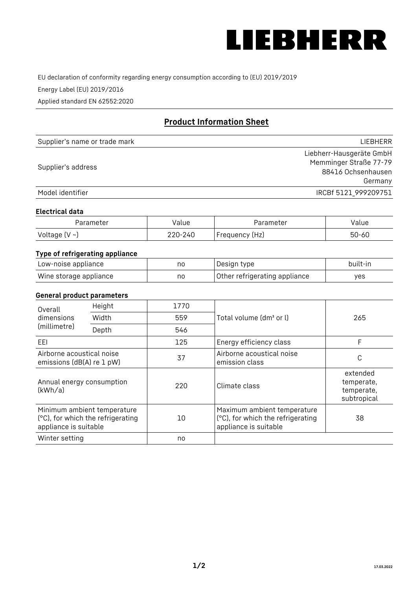

EU declaration of conformity regarding energy consumption according to (EU) 2019/2019

Energy Label (EU) 2019/2016

Applied standard EN 62552:2020

# **Product Information Sheet**

| Supplier's name or trade mark | <b>LIFBHFRR</b>          |
|-------------------------------|--------------------------|
|                               | Liebherr-Hausgeräte GmbH |
| Supplier's address            | Memminger Straße 77-79   |
|                               | 88416 Ochsenhausen       |
|                               | Germany                  |
| Model identifier              | IRCBf 5121 999209751     |

## **Electrical data**

| Parameter     | Value         | Parameter      | alue ' |
|---------------|---------------|----------------|--------|
| Voltage (V ~) | 220-:<br>-24C | Frequency (Hz) | 50-60  |

# **Type of refrigerating appliance**

| Low-noise appliance    | no | Design type                   | built-in |
|------------------------|----|-------------------------------|----------|
| Wine storage appliance | no | Other refrigerating appliance | yes      |

## **General product parameters**

| Height<br>Overall                                      |                                                                  | 1770 |                                                                                           |                                                     |
|--------------------------------------------------------|------------------------------------------------------------------|------|-------------------------------------------------------------------------------------------|-----------------------------------------------------|
| dimensions<br>(millimetre)                             | Width                                                            | 559  | Total volume (dm <sup>3</sup> or l)                                                       | 265                                                 |
|                                                        | Depth                                                            | 546  |                                                                                           |                                                     |
| EEL                                                    |                                                                  | 125  | Energy efficiency class                                                                   | F                                                   |
| Airborne acoustical noise<br>emissions (dB(A) re 1 pW) |                                                                  | 37   | Airborne acoustical noise<br>emission class                                               | С                                                   |
| Annual energy consumption<br>(kWh/a)                   |                                                                  | 220  | Climate class                                                                             | extended<br>temperate,<br>temperate,<br>subtropical |
| appliance is suitable                                  | Minimum ambient temperature<br>(°C), for which the refrigerating | 10   | Maximum ambient temperature<br>(°C), for which the refrigerating<br>appliance is suitable | 38                                                  |
| Winter setting                                         |                                                                  | no   |                                                                                           |                                                     |